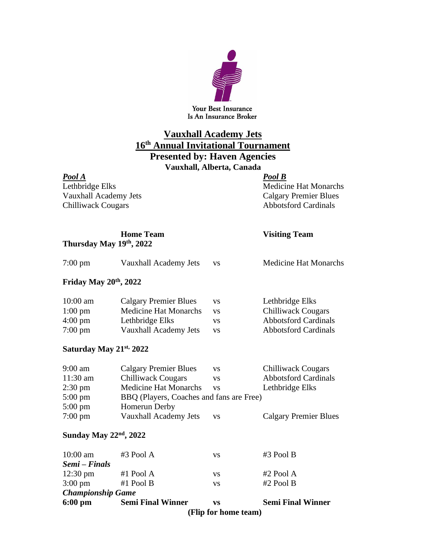

Is An Insurance Broker

## **Vauxhall Academy Jets 16 th Annual Invitational Tournament**

**Presented by: Haven Agencies**

**Vauxhall, Alberta, Canada**

## *Pool A Pool B*

Vauxhall Academy Jets Calgary Premier Blues<br>Chilliwack Cougars Chilliwack Cougars Abbotsford Cardinals Chilliwack Cougars

Lethbridge Elks<br>
Vauxhall Academy Jets<br>
Calgary Premier Blues

|                         |  | <b>Home Team</b> |
|-------------------------|--|------------------|
| Thursday May 19th, 2022 |  |                  |

## **Home Team Visiting Team**

| $7:00 \text{ pm}$                  | Vauxhall Academy Jets                    | <b>VS</b> | <b>Medicine Hat Monarchs</b> |  |  |  |
|------------------------------------|------------------------------------------|-----------|------------------------------|--|--|--|
| Friday May 20 <sup>th</sup> , 2022 |                                          |           |                              |  |  |  |
| $10:00$ am                         | <b>Calgary Premier Blues</b>             | <b>VS</b> | Lethbridge Elks              |  |  |  |
| $1:00 \text{ pm}$                  | <b>Medicine Hat Monarchs</b>             | <b>VS</b> | <b>Chilliwack Cougars</b>    |  |  |  |
| 4:00 pm                            | Lethbridge Elks                          | <b>VS</b> | <b>Abbotsford Cardinals</b>  |  |  |  |
| 7:00 pm                            | Vauxhall Academy Jets                    | <b>VS</b> | <b>Abbotsford Cardinals</b>  |  |  |  |
| Saturday May 21st, 2022            |                                          |           |                              |  |  |  |
| 9:00 am                            | <b>Calgary Premier Blues</b>             | <b>VS</b> | Chilliwack Cougars           |  |  |  |
| $11:30$ am                         | <b>Chilliwack Cougars</b>                | <b>VS</b> | <b>Abbotsford Cardinals</b>  |  |  |  |
| $2:30 \text{ pm}$                  | <b>Medicine Hat Monarchs</b>             | <b>VS</b> | Lethbridge Elks              |  |  |  |
| $5:00 \text{ pm}$                  | BBQ (Players, Coaches and fans are Free) |           |                              |  |  |  |
| $5:00 \text{ pm}$                  | <b>Homerun Derby</b>                     |           |                              |  |  |  |
| 7:00 pm                            | Vauxhall Academy Jets                    | <b>VS</b> | <b>Calgary Premier Blues</b> |  |  |  |
| Sunday May 22 <sup>nd</sup> , 2022 |                                          |           |                              |  |  |  |
| $10.00 \text{ am}$                 | $\#$ 3 Pool A                            | VC.       | $\#$ 3 Pool R                |  |  |  |

|                          | (Flip for home team)     |     |                          |  |  |
|--------------------------|--------------------------|-----|--------------------------|--|--|
| $6:00 \text{ pm}$        | <b>Semi Final Winner</b> | VS  | <b>Semi Final Winner</b> |  |  |
| <b>Championship Game</b> |                          |     |                          |  |  |
| $3:00 \text{ pm}$        | #1 Pool B                | VS. | $#2$ Pool B              |  |  |
| $12:30 \text{ pm}$       | #1 Pool $A$              | VS  | $#2$ Pool A              |  |  |
| Semi – Finals            |                          |     |                          |  |  |
| $10:00$ am               | #3 Pool A                | VS  | $#3$ Pool B              |  |  |